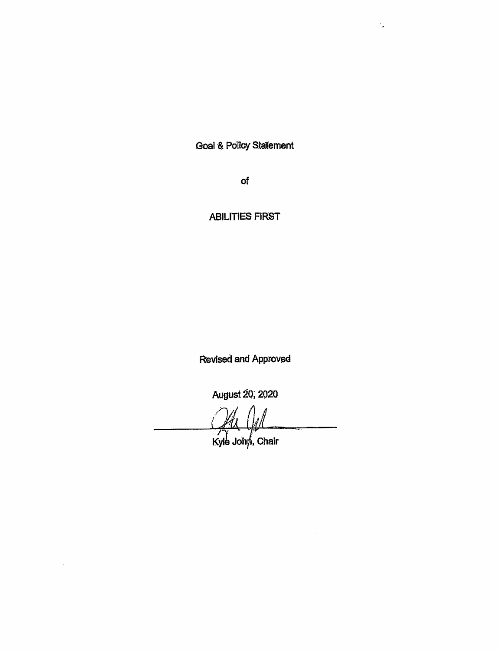**Goal & Policy Statement** 

 $\mathcal{C}_{\mathbf{z}}$ 

of

**ABILITIES FIRST** 

Revised and Approved

August 20, 2020

Kyle John, Chair

i.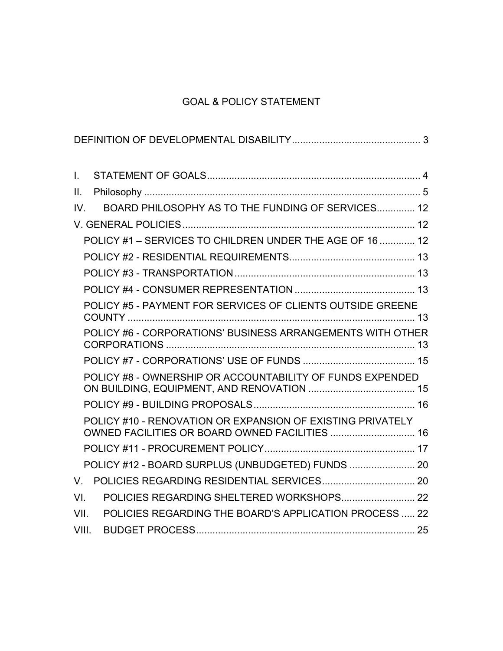# GOAL & POLICY STATEMENT

| $\mathbf{L}$ |                                                                                                              |
|--------------|--------------------------------------------------------------------------------------------------------------|
| II.          |                                                                                                              |
| IV.          | BOARD PHILOSOPHY AS TO THE FUNDING OF SERVICES 12                                                            |
|              |                                                                                                              |
|              | POLICY #1 - SERVICES TO CHILDREN UNDER THE AGE OF 16  12                                                     |
|              |                                                                                                              |
|              |                                                                                                              |
|              |                                                                                                              |
|              | POLICY #5 - PAYMENT FOR SERVICES OF CLIENTS OUTSIDE GREENE                                                   |
|              |                                                                                                              |
|              | POLICY #6 - CORPORATIONS' BUSINESS ARRANGEMENTS WITH OTHER                                                   |
|              |                                                                                                              |
|              | POLICY #8 - OWNERSHIP OR ACCOUNTABILITY OF FUNDS EXPENDED                                                    |
|              |                                                                                                              |
|              | POLICY #10 - RENOVATION OR EXPANSION OF EXISTING PRIVATELY<br>OWNED FACILITIES OR BOARD OWNED FACILITIES  16 |
|              |                                                                                                              |
|              | POLICY #12 - BOARD SURPLUS (UNBUDGETED) FUNDS  20                                                            |
| V.           |                                                                                                              |
| VI.          | POLICIES REGARDING SHELTERED WORKSHOPS 22                                                                    |
| VII.         | POLICIES REGARDING THE BOARD'S APPLICATION PROCESS  22                                                       |
| VIII.        |                                                                                                              |
|              |                                                                                                              |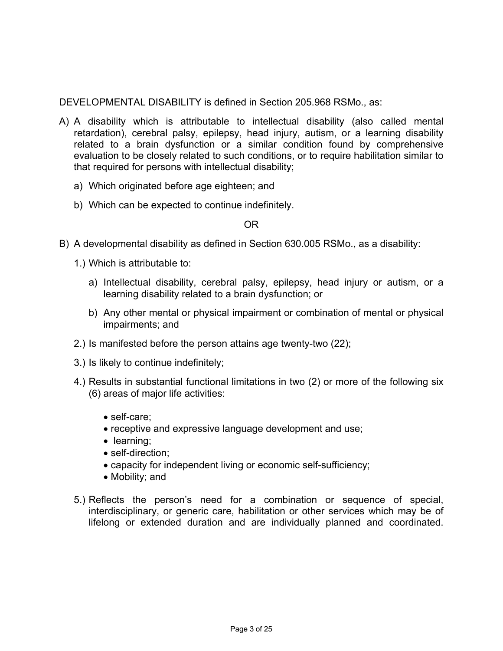DEVELOPMENTAL DISABILITY is defined in Section 205.968 RSMo., as:

- A) A disability which is attributable to intellectual disability (also called mental retardation), cerebral palsy, epilepsy, head injury, autism, or a learning disability related to a brain dysfunction or a similar condition found by comprehensive evaluation to be closely related to such conditions, or to require habilitation similar to that required for persons with intellectual disability;
	- a) Which originated before age eighteen; and
	- b) Which can be expected to continue indefinitely.

#### OR

- B) A developmental disability as defined in Section 630.005 RSMo., as a disability:
	- 1.) Which is attributable to:
		- a) Intellectual disability, cerebral palsy, epilepsy, head injury or autism, or a learning disability related to a brain dysfunction; or
		- b) Any other mental or physical impairment or combination of mental or physical impairments; and
	- 2.) Is manifested before the person attains age twenty-two (22);
	- 3.) Is likely to continue indefinitely;
	- 4.) Results in substantial functional limitations in two (2) or more of the following six (6) areas of major life activities:
		- self-care;
		- receptive and expressive language development and use;
		- learning;
		- self-direction:
		- capacity for independent living or economic self-sufficiency;
		- Mobility; and
	- 5.) Reflects the person's need for a combination or sequence of special, interdisciplinary, or generic care, habilitation or other services which may be of lifelong or extended duration and are individually planned and coordinated.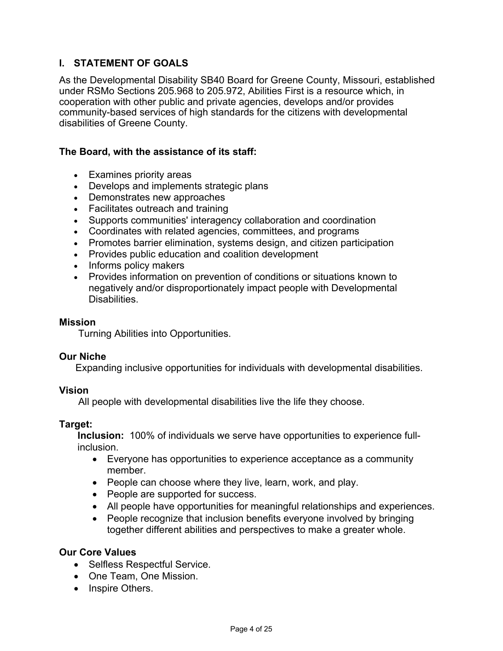# **I. STATEMENT OF GOALS**

As the Developmental Disability SB40 Board for Greene County, Missouri, established under RSMo Sections 205.968 to 205.972, Abilities First is a resource which, in cooperation with other public and private agencies, develops and/or provides community-based services of high standards for the citizens with developmental disabilities of Greene County.

### **The Board, with the assistance of its staff:**

- Examines priority areas
- Develops and implements strategic plans
- Demonstrates new approaches
- Facilitates outreach and training
- Supports communities' interagency collaboration and coordination
- Coordinates with related agencies, committees, and programs
- Promotes barrier elimination, systems design, and citizen participation
- Provides public education and coalition development
- Informs policy makers
- Provides information on prevention of conditions or situations known to negatively and/or disproportionately impact people with Developmental Disabilities.

#### **Mission**

Turning Abilities into Opportunities.

#### **Our Niche**

Expanding inclusive opportunities for individuals with developmental disabilities.

#### **Vision**

All people with developmental disabilities live the life they choose.

#### **Target:**

**Inclusion:** 100% of individuals we serve have opportunities to experience fullinclusion.

- Everyone has opportunities to experience acceptance as a community member.
- People can choose where they live, learn, work, and play.
- People are supported for success.
- All people have opportunities for meaningful relationships and experiences.
- People recognize that inclusion benefits everyone involved by bringing together different abilities and perspectives to make a greater whole.

#### **Our Core Values**

- Selfless Respectful Service.
- One Team, One Mission.
- Inspire Others.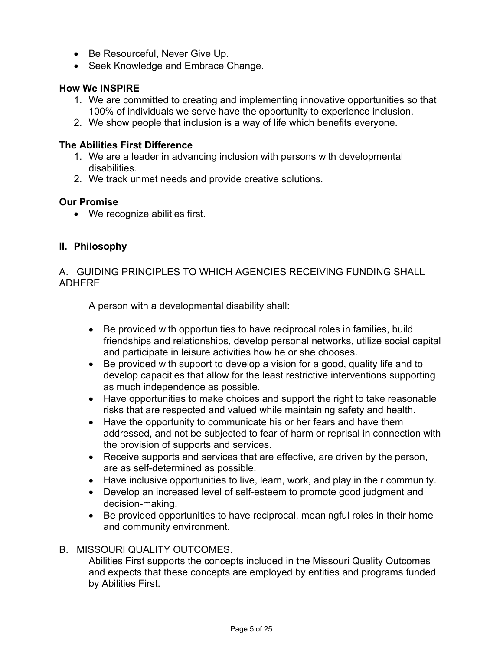- Be Resourceful, Never Give Up.
- Seek Knowledge and Embrace Change.

### **How We INSPIRE**

- 1. We are committed to creating and implementing innovative opportunities so that 100% of individuals we serve have the opportunity to experience inclusion.
- 2. We show people that inclusion is a way of life which benefits everyone.

### **The Abilities First Difference**

- 1. We are a leader in advancing inclusion with persons with developmental disabilities.
- 2. We track unmet needs and provide creative solutions.

### **Our Promise**

• We recognize abilities first.

### **II. Philosophy**

### A. GUIDING PRINCIPLES TO WHICH AGENCIES RECEIVING FUNDING SHALL ADHERE

A person with a developmental disability shall:

- Be provided with opportunities to have reciprocal roles in families, build friendships and relationships, develop personal networks, utilize social capital and participate in leisure activities how he or she chooses.
- Be provided with support to develop a vision for a good, quality life and to develop capacities that allow for the least restrictive interventions supporting as much independence as possible.
- Have opportunities to make choices and support the right to take reasonable risks that are respected and valued while maintaining safety and health.
- Have the opportunity to communicate his or her fears and have them addressed, and not be subjected to fear of harm or reprisal in connection with the provision of supports and services.
- Receive supports and services that are effective, are driven by the person, are as self-determined as possible.
- Have inclusive opportunities to live, learn, work, and play in their community.
- Develop an increased level of self-esteem to promote good judgment and decision-making.
- Be provided opportunities to have reciprocal, meaningful roles in their home and community environment.

### B. MISSOURI QUALITY OUTCOMES.

Abilities First supports the concepts included in the Missouri Quality Outcomes and expects that these concepts are employed by entities and programs funded by Abilities First.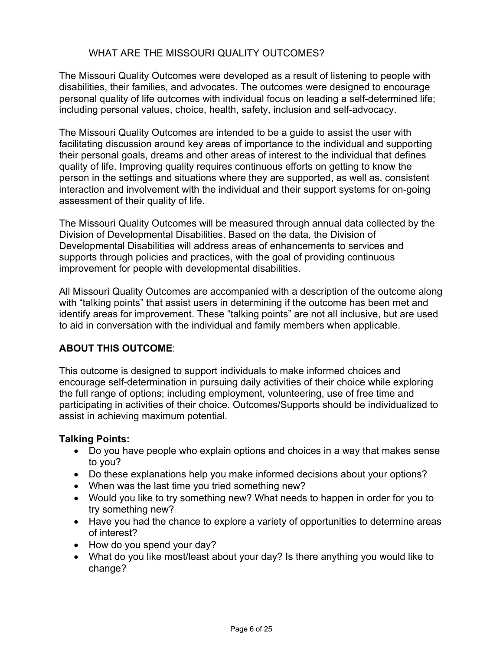## WHAT ARE THE MISSOURI QUALITY OUTCOMES?

The Missouri Quality Outcomes were developed as a result of listening to people with disabilities, their families, and advocates. The outcomes were designed to encourage personal quality of life outcomes with individual focus on leading a self-determined life; including personal values, choice, health, safety, inclusion and self-advocacy.

The Missouri Quality Outcomes are intended to be a guide to assist the user with facilitating discussion around key areas of importance to the individual and supporting their personal goals, dreams and other areas of interest to the individual that defines quality of life. Improving quality requires continuous efforts on getting to know the person in the settings and situations where they are supported, as well as, consistent interaction and involvement with the individual and their support systems for on-going assessment of their quality of life.

The Missouri Quality Outcomes will be measured through annual data collected by the Division of Developmental Disabilities. Based on the data, the Division of Developmental Disabilities will address areas of enhancements to services and supports through policies and practices, with the goal of providing continuous improvement for people with developmental disabilities.

All Missouri Quality Outcomes are accompanied with a description of the outcome along with "talking points" that assist users in determining if the outcome has been met and identify areas for improvement. These "talking points" are not all inclusive, but are used to aid in conversation with the individual and family members when applicable.

## **ABOUT THIS OUTCOME**:

This outcome is designed to support individuals to make informed choices and encourage self-determination in pursuing daily activities of their choice while exploring the full range of options; including employment, volunteering, use of free time and participating in activities of their choice. Outcomes/Supports should be individualized to assist in achieving maximum potential.

### **Talking Points:**

- Do you have people who explain options and choices in a way that makes sense to you?
- Do these explanations help you make informed decisions about your options?
- When was the last time you tried something new?
- Would you like to try something new? What needs to happen in order for you to try something new?
- Have you had the chance to explore a variety of opportunities to determine areas of interest?
- How do you spend your day?
- What do you like most/least about your day? Is there anything you would like to change?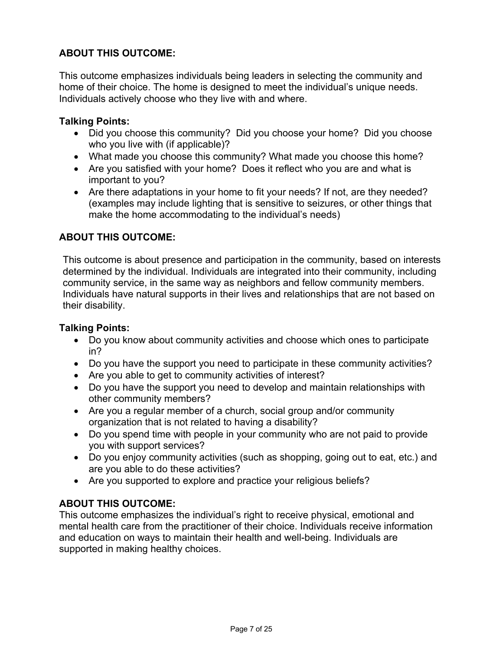# **ABOUT THIS OUTCOME:**

This outcome emphasizes individuals being leaders in selecting the community and home of their choice. The home is designed to meet the individual's unique needs. Individuals actively choose who they live with and where.

### **Talking Points:**

- Did you choose this community? Did you choose your home? Did you choose who you live with (if applicable)?
- What made you choose this community? What made you choose this home?
- Are you satisfied with your home? Does it reflect who you are and what is important to you?
- Are there adaptations in your home to fit your needs? If not, are they needed? (examples may include lighting that is sensitive to seizures, or other things that make the home accommodating to the individual's needs)

## **ABOUT THIS OUTCOME:**

This outcome is about presence and participation in the community, based on interests determined by the individual. Individuals are integrated into their community, including community service, in the same way as neighbors and fellow community members. Individuals have natural supports in their lives and relationships that are not based on their disability.

### **Talking Points:**

- Do you know about community activities and choose which ones to participate in?
- Do you have the support you need to participate in these community activities?
- Are you able to get to community activities of interest?
- Do you have the support you need to develop and maintain relationships with other community members?
- Are you a regular member of a church, social group and/or community organization that is not related to having a disability?
- Do you spend time with people in your community who are not paid to provide you with support services?
- Do you enjoy community activities (such as shopping, going out to eat, etc.) and are you able to do these activities?
- Are you supported to explore and practice your religious beliefs?

## **ABOUT THIS OUTCOME:**

This outcome emphasizes the individual's right to receive physical, emotional and mental health care from the practitioner of their choice. Individuals receive information and education on ways to maintain their health and well-being. Individuals are supported in making healthy choices.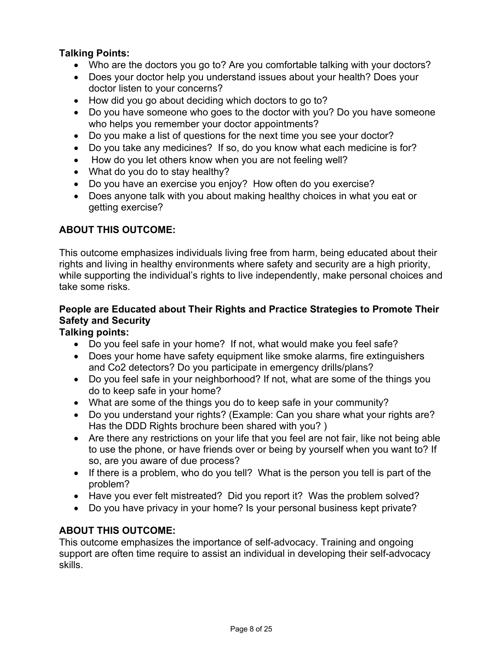## **Talking Points:**

- Who are the doctors you go to? Are you comfortable talking with your doctors?
- Does your doctor help you understand issues about your health? Does your doctor listen to your concerns?
- How did you go about deciding which doctors to go to?
- Do you have someone who goes to the doctor with you? Do you have someone who helps you remember your doctor appointments?
- Do you make a list of questions for the next time you see your doctor?
- Do you take any medicines? If so, do you know what each medicine is for?
- How do you let others know when you are not feeling well?
- What do you do to stay healthy?
- Do you have an exercise you enjoy? How often do you exercise?
- Does anyone talk with you about making healthy choices in what you eat or getting exercise?

## **ABOUT THIS OUTCOME:**

This outcome emphasizes individuals living free from harm, being educated about their rights and living in healthy environments where safety and security are a high priority, while supporting the individual's rights to live independently, make personal choices and take some risks.

# **People are Educated about Their Rights and Practice Strategies to Promote Their Safety and Security**

# **Talking points:**

- Do you feel safe in your home? If not, what would make you feel safe?
- Does your home have safety equipment like smoke alarms, fire extinguishers and Co2 detectors? Do you participate in emergency drills/plans?
- Do you feel safe in your neighborhood? If not, what are some of the things you do to keep safe in your home?
- What are some of the things you do to keep safe in your community?
- Do you understand your rights? (Example: Can you share what your rights are? Has the DDD Rights brochure been shared with you? )
- Are there any restrictions on your life that you feel are not fair, like not being able to use the phone, or have friends over or being by yourself when you want to? If so, are you aware of due process?
- If there is a problem, who do you tell? What is the person you tell is part of the problem?
- Have you ever felt mistreated? Did you report it? Was the problem solved?
- Do you have privacy in your home? Is your personal business kept private?

## **ABOUT THIS OUTCOME:**

This outcome emphasizes the importance of self-advocacy. Training and ongoing support are often time require to assist an individual in developing their self-advocacy skills.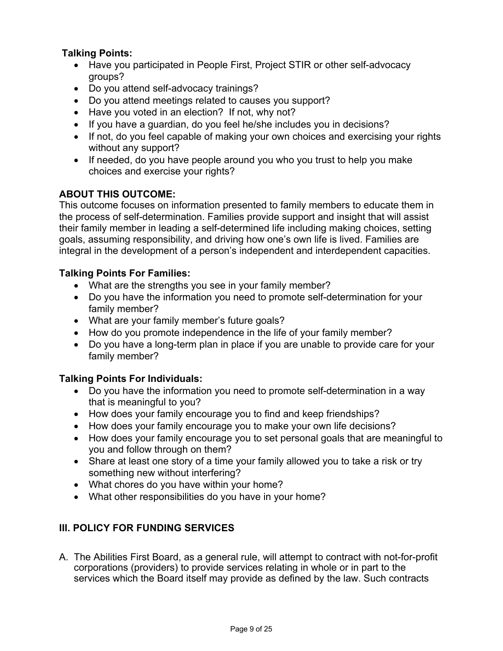## **Talking Points:**

- Have you participated in People First, Project STIR or other self-advocacy groups?
- Do you attend self-advocacy trainings?
- Do you attend meetings related to causes you support?
- Have you voted in an election? If not, why not?
- If you have a guardian, do you feel he/she includes you in decisions?
- If not, do you feel capable of making your own choices and exercising your rights without any support?
- If needed, do you have people around you who you trust to help you make choices and exercise your rights?

# **ABOUT THIS OUTCOME:**

This outcome focuses on information presented to family members to educate them in the process of self-determination. Families provide support and insight that will assist their family member in leading a self-determined life including making choices, setting goals, assuming responsibility, and driving how one's own life is lived. Families are integral in the development of a person's independent and interdependent capacities.

## **Talking Points For Families:**

- What are the strengths you see in your family member?
- Do you have the information you need to promote self-determination for your family member?
- What are your family member's future goals?
- How do you promote independence in the life of your family member?
- Do you have a long-term plan in place if you are unable to provide care for your family member?

## **Talking Points For Individuals:**

- Do you have the information you need to promote self-determination in a way that is meaningful to you?
- How does your family encourage you to find and keep friendships?
- How does your family encourage you to make your own life decisions?
- How does your family encourage you to set personal goals that are meaningful to you and follow through on them?
- Share at least one story of a time your family allowed you to take a risk or try something new without interfering?
- What chores do you have within your home?
- What other responsibilities do you have in your home?

# **III. POLICY FOR FUNDING SERVICES**

A. The Abilities First Board, as a general rule, will attempt to contract with not-for-profit corporations (providers) to provide services relating in whole or in part to the services which the Board itself may provide as defined by the law. Such contracts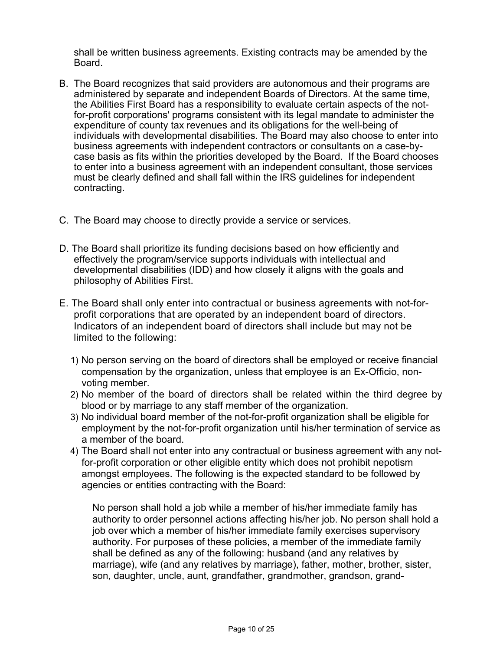shall be written business agreements. Existing contracts may be amended by the Board.

- B. The Board recognizes that said providers are autonomous and their programs are administered by separate and independent Boards of Directors. At the same time, the Abilities First Board has a responsibility to evaluate certain aspects of the notfor-profit corporations' programs consistent with its legal mandate to administer the expenditure of county tax revenues and its obligations for the well-being of individuals with developmental disabilities. The Board may also choose to enter into business agreements with independent contractors or consultants on a case-bycase basis as fits within the priorities developed by the Board. If the Board chooses to enter into a business agreement with an independent consultant, those services must be clearly defined and shall fall within the IRS guidelines for independent contracting.
- C. The Board may choose to directly provide a service or services.
- D. The Board shall prioritize its funding decisions based on how efficiently and effectively the program/service supports individuals with intellectual and developmental disabilities (IDD) and how closely it aligns with the goals and philosophy of Abilities First.
- E. The Board shall only enter into contractual or business agreements with not-forprofit corporations that are operated by an independent board of directors. Indicators of an independent board of directors shall include but may not be limited to the following:
	- 1) No person serving on the board of directors shall be employed or receive financial compensation by the organization, unless that employee is an Ex-Officio, nonvoting member.
	- 2) No member of the board of directors shall be related within the third degree by blood or by marriage to any staff member of the organization.
	- 3) No individual board member of the not-for-profit organization shall be eligible for employment by the not-for-profit organization until his/her termination of service as a member of the board.
	- 4) The Board shall not enter into any contractual or business agreement with any notfor-profit corporation or other eligible entity which does not prohibit nepotism amongst employees. The following is the expected standard to be followed by agencies or entities contracting with the Board:

No person shall hold a job while a member of his/her immediate family has authority to order personnel actions affecting his/her job. No person shall hold a job over which a member of his/her immediate family exercises supervisory authority. For purposes of these policies, a member of the immediate family shall be defined as any of the following: husband (and any relatives by marriage), wife (and any relatives by marriage), father, mother, brother, sister, son, daughter, uncle, aunt, grandfather, grandmother, grandson, grand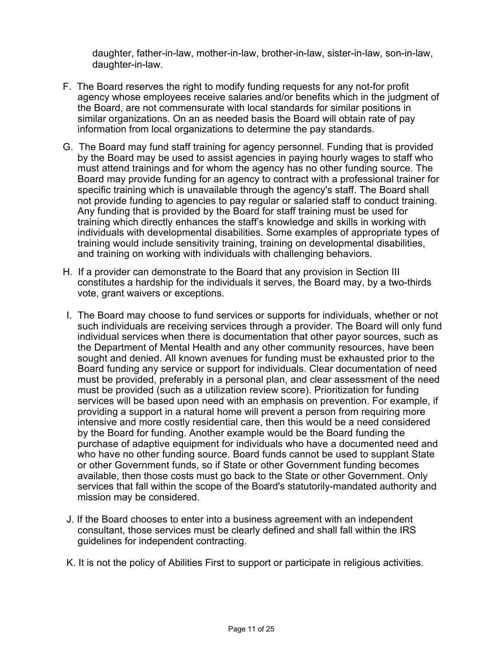daughter, father-in-law, mother-in-law, brother-in-law, sister-in-law, son-in-law, daughter-in-law.

- F. The Board reserves the right to modify funding requests for any not-for profit agency whose employees receive salaries and/or benefits which in the judgment of the Board, are not commensurate with local standards for similar positions in similar organizations. On an as needed basis the Board will obtain rate of pay information from local organizations to determine the pay standards.
- G. The Board may fund staff training for agency personnel. Funding that is provided by the Board may be used to assist agencies in paying hourly wages to staff who must attend trainings and for whom the agency has no other funding source. The Board may provide funding for an agency to contract with a professional trainer for specific training which is unavailable through the agency's staff. The Board shall not provide funding to agencies to pay regular or salaried staff to conduct training. Any funding that is provided by the Board for staff training must be used for training which directly enhances the staff's knowledge and skills in working with individuals with developmental disabilities. Some examples of appropriate types of training would include sensitivity training, training on developmental disabilities, and training on working with individuals with challenging behaviors.
- H. If a provider can demonstrate to the Board that any provision in Section III constitutes a hardship for the individuals it serves, the Board may, by a two-thirds vote, grant waivers or exceptions.
- I. The Board may choose to fund services or supports for individuals, whether or not such individuals are receiving services through a provider. The Board will only fund individual services when there is documentation that other payor sources, such as the Department of Mental Health and any other community resources, have been sought and denied. All known avenues for funding must be exhausted prior to the Board funding any service or support for individuals. Clear documentation of need must be provided, preferably in a personal plan, and clear assessment of the need must be provided (such as a utilization review score). Prioritization for funding services will be based upon need with an emphasis on prevention. For example, if providing a support in a natural home will prevent a person from requiring more intensive and more costly residential care, then this would be a need considered by the Board for funding. Another example would be the Board funding the purchase of adaptive equipment for individuals who have a documented need and who have no other funding source. Board funds cannot be used to supplant State or other Government funds, so if State or other Government funding becomes available, then those costs must go back to the State or other Government. Only services that fall within the scope of the Board's statutorily-mandated authority and mission may be considered.
- J. If the Board chooses to enter into a business agreement with an independent consultant, those services must be clearly defined and shall fall within the IRS guidelines for independent contracting.
- K. It is not the policy of Abilities First to support or participate in religious activities.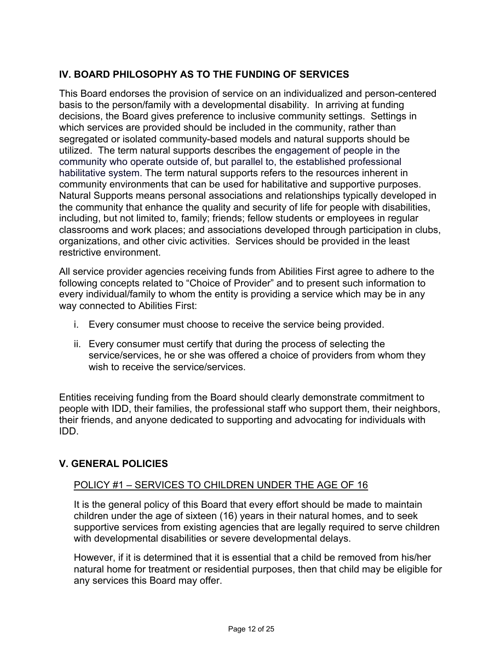# **IV. BOARD PHILOSOPHY AS TO THE FUNDING OF SERVICES**

This Board endorses the provision of service on an individualized and person-centered basis to the person/family with a developmental disability. In arriving at funding decisions, the Board gives preference to inclusive community settings. Settings in which services are provided should be included in the community, rather than segregated or isolated community-based models and natural supports should be utilized. The term natural supports describes the engagement of people in the community who operate outside of, but parallel to, the established professional habilitative system. The term natural supports refers to the resources inherent in community environments that can be used for habilitative and supportive purposes. Natural Supports means personal associations and relationships typically developed in the community that enhance the quality and security of life for people with disabilities, including, but not limited to, family; friends; fellow students or employees in regular classrooms and work places; and associations developed through participation in clubs, organizations, and other civic activities. Services should be provided in the least restrictive environment.

All service provider agencies receiving funds from Abilities First agree to adhere to the following concepts related to "Choice of Provider" and to present such information to every individual/family to whom the entity is providing a service which may be in any way connected to Abilities First:

- i. Every consumer must choose to receive the service being provided.
- ii. Every consumer must certify that during the process of selecting the service/services, he or she was offered a choice of providers from whom they wish to receive the service/services.

Entities receiving funding from the Board should clearly demonstrate commitment to people with IDD, their families, the professional staff who support them, their neighbors, their friends, and anyone dedicated to supporting and advocating for individuals with IDD.

## **V. GENERAL POLICIES**

### POLICY #1 – SERVICES TO CHILDREN UNDER THE AGE OF 16

It is the general policy of this Board that every effort should be made to maintain children under the age of sixteen (16) years in their natural homes, and to seek supportive services from existing agencies that are legally required to serve children with developmental disabilities or severe developmental delays.

However, if it is determined that it is essential that a child be removed from his/her natural home for treatment or residential purposes, then that child may be eligible for any services this Board may offer.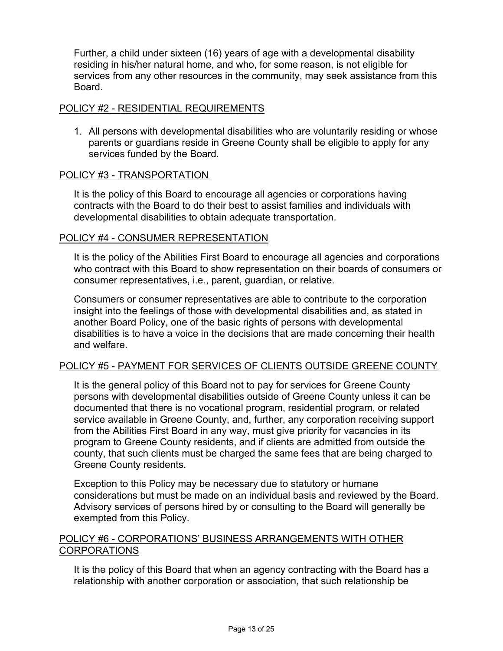Further, a child under sixteen (16) years of age with a developmental disability residing in his/her natural home, and who, for some reason, is not eligible for services from any other resources in the community, may seek assistance from this Board.

### POLICY #2 - RESIDENTIAL REQUIREMENTS

1. All persons with developmental disabilities who are voluntarily residing or whose parents or guardians reside in Greene County shall be eligible to apply for any services funded by the Board.

#### POLICY #3 - TRANSPORTATION

It is the policy of this Board to encourage all agencies or corporations having contracts with the Board to do their best to assist families and individuals with developmental disabilities to obtain adequate transportation.

### POLICY #4 - CONSUMER REPRESENTATION

It is the policy of the Abilities First Board to encourage all agencies and corporations who contract with this Board to show representation on their boards of consumers or consumer representatives, i.e., parent, guardian, or relative.

Consumers or consumer representatives are able to contribute to the corporation insight into the feelings of those with developmental disabilities and, as stated in another Board Policy, one of the basic rights of persons with developmental disabilities is to have a voice in the decisions that are made concerning their health and welfare.

### POLICY #5 - PAYMENT FOR SERVICES OF CLIENTS OUTSIDE GREENE COUNTY

It is the general policy of this Board not to pay for services for Greene County persons with developmental disabilities outside of Greene County unless it can be documented that there is no vocational program, residential program, or related service available in Greene County, and, further, any corporation receiving support from the Abilities First Board in any way, must give priority for vacancies in its program to Greene County residents, and if clients are admitted from outside the county, that such clients must be charged the same fees that are being charged to Greene County residents.

Exception to this Policy may be necessary due to statutory or humane considerations but must be made on an individual basis and reviewed by the Board. Advisory services of persons hired by or consulting to the Board will generally be exempted from this Policy.

## POLICY #6 - CORPORATIONS' BUSINESS ARRANGEMENTS WITH OTHER CORPORATIONS

It is the policy of this Board that when an agency contracting with the Board has a relationship with another corporation or association, that such relationship be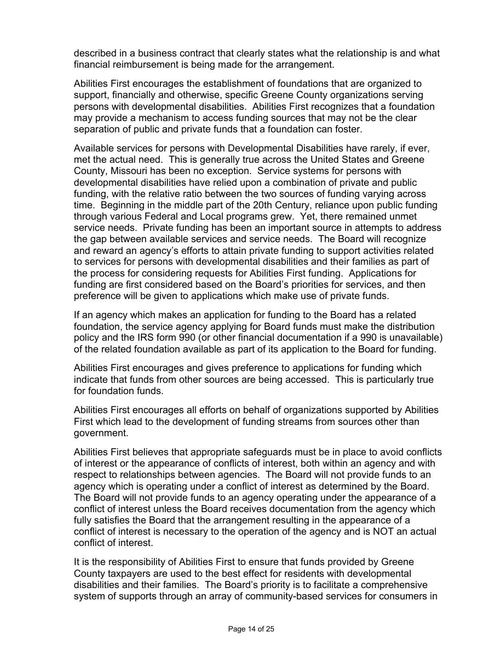described in a business contract that clearly states what the relationship is and what financial reimbursement is being made for the arrangement.

Abilities First encourages the establishment of foundations that are organized to support, financially and otherwise, specific Greene County organizations serving persons with developmental disabilities. Abilities First recognizes that a foundation may provide a mechanism to access funding sources that may not be the clear separation of public and private funds that a foundation can foster.

Available services for persons with Developmental Disabilities have rarely, if ever, met the actual need. This is generally true across the United States and Greene County, Missouri has been no exception. Service systems for persons with developmental disabilities have relied upon a combination of private and public funding, with the relative ratio between the two sources of funding varying across time. Beginning in the middle part of the 20th Century, reliance upon public funding through various Federal and Local programs grew. Yet, there remained unmet service needs. Private funding has been an important source in attempts to address the gap between available services and service needs. The Board will recognize and reward an agency's efforts to attain private funding to support activities related to services for persons with developmental disabilities and their families as part of the process for considering requests for Abilities First funding. Applications for funding are first considered based on the Board's priorities for services, and then preference will be given to applications which make use of private funds.

If an agency which makes an application for funding to the Board has a related foundation, the service agency applying for Board funds must make the distribution policy and the IRS form 990 (or other financial documentation if a 990 is unavailable) of the related foundation available as part of its application to the Board for funding.

Abilities First encourages and gives preference to applications for funding which indicate that funds from other sources are being accessed. This is particularly true for foundation funds.

Abilities First encourages all efforts on behalf of organizations supported by Abilities First which lead to the development of funding streams from sources other than government.

Abilities First believes that appropriate safeguards must be in place to avoid conflicts of interest or the appearance of conflicts of interest, both within an agency and with respect to relationships between agencies. The Board will not provide funds to an agency which is operating under a conflict of interest as determined by the Board. The Board will not provide funds to an agency operating under the appearance of a conflict of interest unless the Board receives documentation from the agency which fully satisfies the Board that the arrangement resulting in the appearance of a conflict of interest is necessary to the operation of the agency and is NOT an actual conflict of interest.

It is the responsibility of Abilities First to ensure that funds provided by Greene County taxpayers are used to the best effect for residents with developmental disabilities and their families. The Board's priority is to facilitate a comprehensive system of supports through an array of community-based services for consumers in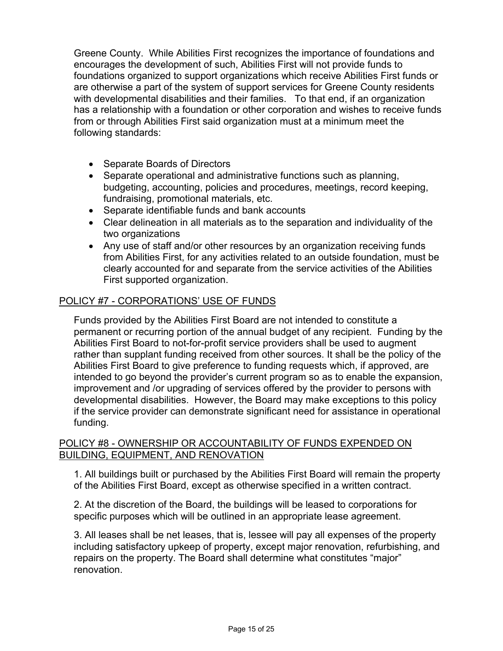Greene County. While Abilities First recognizes the importance of foundations and encourages the development of such, Abilities First will not provide funds to foundations organized to support organizations which receive Abilities First funds or are otherwise a part of the system of support services for Greene County residents with developmental disabilities and their families. To that end, if an organization has a relationship with a foundation or other corporation and wishes to receive funds from or through Abilities First said organization must at a minimum meet the following standards:

- Separate Boards of Directors
- Separate operational and administrative functions such as planning, budgeting, accounting, policies and procedures, meetings, record keeping, fundraising, promotional materials, etc.
- Separate identifiable funds and bank accounts
- Clear delineation in all materials as to the separation and individuality of the two organizations
- Any use of staff and/or other resources by an organization receiving funds from Abilities First, for any activities related to an outside foundation, must be clearly accounted for and separate from the service activities of the Abilities First supported organization.

## POLICY #7 - CORPORATIONS' USE OF FUNDS

Funds provided by the Abilities First Board are not intended to constitute a permanent or recurring portion of the annual budget of any recipient. Funding by the Abilities First Board to not-for-profit service providers shall be used to augment rather than supplant funding received from other sources. It shall be the policy of the Abilities First Board to give preference to funding requests which, if approved, are intended to go beyond the provider's current program so as to enable the expansion, improvement and /or upgrading of services offered by the provider to persons with developmental disabilities. However, the Board may make exceptions to this policy if the service provider can demonstrate significant need for assistance in operational funding.

### POLICY #8 - OWNERSHIP OR ACCOUNTABILITY OF FUNDS EXPENDED ON BUILDING, EQUIPMENT, AND RENOVATION

1. All buildings built or purchased by the Abilities First Board will remain the property of the Abilities First Board, except as otherwise specified in a written contract.

2. At the discretion of the Board, the buildings will be leased to corporations for specific purposes which will be outlined in an appropriate lease agreement.

3. All leases shall be net leases, that is, lessee will pay all expenses of the property including satisfactory upkeep of property, except major renovation, refurbishing, and repairs on the property. The Board shall determine what constitutes "major" renovation.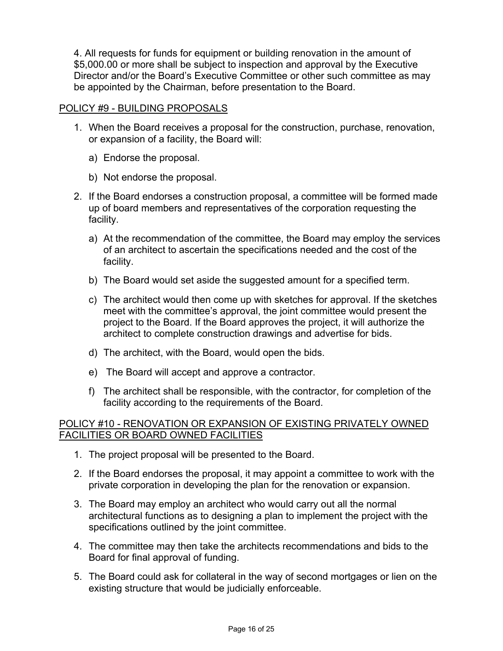4. All requests for funds for equipment or building renovation in the amount of \$5,000.00 or more shall be subject to inspection and approval by the Executive Director and/or the Board's Executive Committee or other such committee as may be appointed by the Chairman, before presentation to the Board.

### POLICY #9 - BUILDING PROPOSALS

- 1. When the Board receives a proposal for the construction, purchase, renovation, or expansion of a facility, the Board will:
	- a) Endorse the proposal.
	- b) Not endorse the proposal.
- 2. If the Board endorses a construction proposal, a committee will be formed made up of board members and representatives of the corporation requesting the facility.
	- a) At the recommendation of the committee, the Board may employ the services of an architect to ascertain the specifications needed and the cost of the facility.
	- b) The Board would set aside the suggested amount for a specified term.
	- c) The architect would then come up with sketches for approval. If the sketches meet with the committee's approval, the joint committee would present the project to the Board. If the Board approves the project, it will authorize the architect to complete construction drawings and advertise for bids.
	- d) The architect, with the Board, would open the bids.
	- e) The Board will accept and approve a contractor.
	- f) The architect shall be responsible, with the contractor, for completion of the facility according to the requirements of the Board.

### POLICY #10 - RENOVATION OR EXPANSION OF EXISTING PRIVATELY OWNED FACILITIES OR BOARD OWNED FACILITIES

- 1. The project proposal will be presented to the Board.
- 2. If the Board endorses the proposal, it may appoint a committee to work with the private corporation in developing the plan for the renovation or expansion.
- 3. The Board may employ an architect who would carry out all the normal architectural functions as to designing a plan to implement the project with the specifications outlined by the joint committee.
- 4. The committee may then take the architects recommendations and bids to the Board for final approval of funding.
- 5. The Board could ask for collateral in the way of second mortgages or lien on the existing structure that would be judicially enforceable.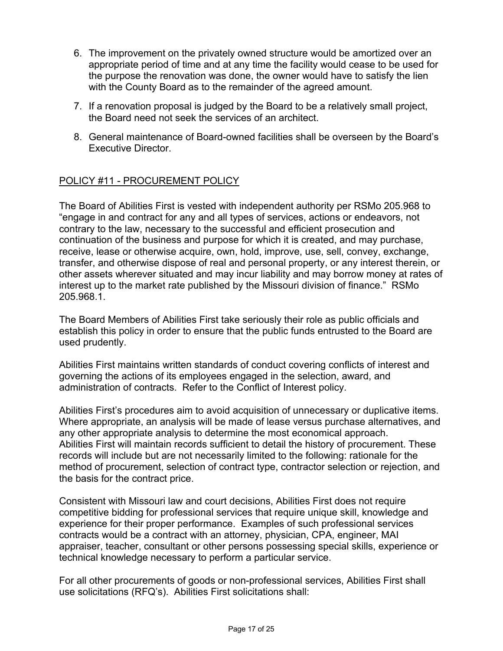- 6. The improvement on the privately owned structure would be amortized over an appropriate period of time and at any time the facility would cease to be used for the purpose the renovation was done, the owner would have to satisfy the lien with the County Board as to the remainder of the agreed amount.
- 7. If a renovation proposal is judged by the Board to be a relatively small project, the Board need not seek the services of an architect.
- 8. General maintenance of Board-owned facilities shall be overseen by the Board's Executive Director.

## POLICY #11 - PROCUREMENT POLICY

The Board of Abilities First is vested with independent authority per RSMo 205.968 to "engage in and contract for any and all types of services, actions or endeavors, not contrary to the law, necessary to the successful and efficient prosecution and continuation of the business and purpose for which it is created, and may purchase, receive, lease or otherwise acquire, own, hold, improve, use, sell, convey, exchange, transfer, and otherwise dispose of real and personal property, or any interest therein, or other assets wherever situated and may incur liability and may borrow money at rates of interest up to the market rate published by the Missouri division of finance." RSMo 205.968.1.

The Board Members of Abilities First take seriously their role as public officials and establish this policy in order to ensure that the public funds entrusted to the Board are used prudently.

Abilities First maintains written standards of conduct covering conflicts of interest and governing the actions of its employees engaged in the selection, award, and administration of contracts. Refer to the Conflict of Interest policy.

Abilities First's procedures aim to avoid acquisition of unnecessary or duplicative items. Where appropriate, an analysis will be made of lease versus purchase alternatives, and any other appropriate analysis to determine the most economical approach. Abilities First will maintain records sufficient to detail the history of procurement. These records will include but are not necessarily limited to the following: rationale for the method of procurement, selection of contract type, contractor selection or rejection, and the basis for the contract price.

Consistent with Missouri law and court decisions, Abilities First does not require competitive bidding for professional services that require unique skill, knowledge and experience for their proper performance. Examples of such professional services contracts would be a contract with an attorney, physician, CPA, engineer, MAI appraiser, teacher, consultant or other persons possessing special skills, experience or technical knowledge necessary to perform a particular service.

For all other procurements of goods or non-professional services, Abilities First shall use solicitations (RFQ's). Abilities First solicitations shall: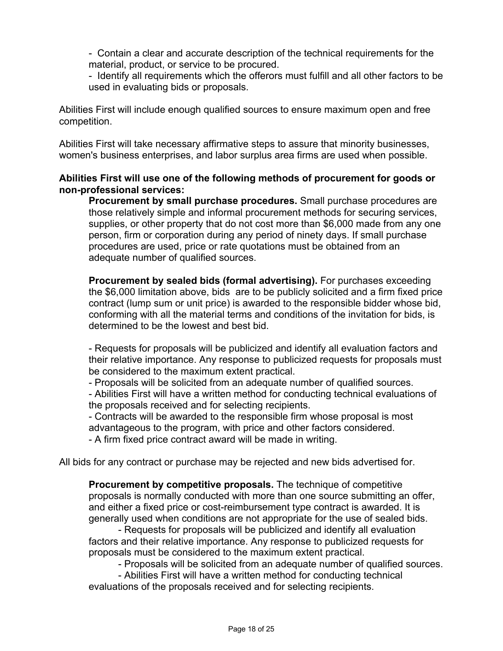- Contain a clear and accurate description of the technical requirements for the material, product, or service to be procured.

- Identify all requirements which the offerors must fulfill and all other factors to be used in evaluating bids or proposals.

Abilities First will include enough qualified sources to ensure maximum open and free competition.

Abilities First will take necessary affirmative steps to assure that minority businesses, women's business enterprises, and labor surplus area firms are used when possible.

### **Abilities First will use one of the following methods of procurement for goods or non-professional services:**

**Procurement by small purchase procedures.** Small purchase procedures are those relatively simple and informal procurement methods for securing services, supplies, or other property that do not cost more than \$6,000 made from any one person, firm or corporation during any period of ninety days. If small purchase procedures are used, price or rate quotations must be obtained from an adequate number of qualified sources.

**Procurement by sealed bids (formal advertising).** For purchases exceeding the \$6,000 limitation above, bids are to be publicly solicited and a firm fixed price contract (lump sum or unit price) is awarded to the responsible bidder whose bid, conforming with all the material terms and conditions of the invitation for bids, is determined to be the lowest and best bid.

- Requests for proposals will be publicized and identify all evaluation factors and their relative importance. Any response to publicized requests for proposals must be considered to the maximum extent practical.

- Proposals will be solicited from an adequate number of qualified sources.

- Abilities First will have a written method for conducting technical evaluations of the proposals received and for selecting recipients.

- Contracts will be awarded to the responsible firm whose proposal is most advantageous to the program, with price and other factors considered.

- A firm fixed price contract award will be made in writing.

All bids for any contract or purchase may be rejected and new bids advertised for.

**Procurement by competitive proposals.** The technique of competitive proposals is normally conducted with more than one source submitting an offer, and either a fixed price or cost-reimbursement type contract is awarded. It is generally used when conditions are not appropriate for the use of sealed bids.

- Requests for proposals will be publicized and identify all evaluation factors and their relative importance. Any response to publicized requests for proposals must be considered to the maximum extent practical.

- Proposals will be solicited from an adequate number of qualified sources.

- Abilities First will have a written method for conducting technical evaluations of the proposals received and for selecting recipients.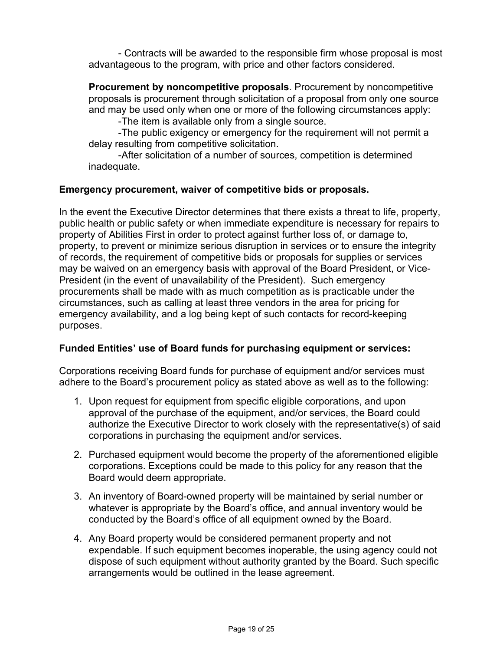- Contracts will be awarded to the responsible firm whose proposal is most advantageous to the program, with price and other factors considered.

**Procurement by noncompetitive proposals**. Procurement by noncompetitive proposals is procurement through solicitation of a proposal from only one source and may be used only when one or more of the following circumstances apply:

-The item is available only from a single source.

-The public exigency or emergency for the requirement will not permit a delay resulting from competitive solicitation.

-After solicitation of a number of sources, competition is determined inadequate.

### **Emergency procurement, waiver of competitive bids or proposals.**

In the event the Executive Director determines that there exists a threat to life, property, public health or public safety or when immediate expenditure is necessary for repairs to property of Abilities First in order to protect against further loss of, or damage to, property, to prevent or minimize serious disruption in services or to ensure the integrity of records, the requirement of competitive bids or proposals for supplies or services may be waived on an emergency basis with approval of the Board President, or Vice-President (in the event of unavailability of the President). Such emergency procurements shall be made with as much competition as is practicable under the circumstances, such as calling at least three vendors in the area for pricing for emergency availability, and a log being kept of such contacts for record-keeping purposes.

### **Funded Entities' use of Board funds for purchasing equipment or services:**

Corporations receiving Board funds for purchase of equipment and/or services must adhere to the Board's procurement policy as stated above as well as to the following:

- 1. Upon request for equipment from specific eligible corporations, and upon approval of the purchase of the equipment, and/or services, the Board could authorize the Executive Director to work closely with the representative(s) of said corporations in purchasing the equipment and/or services.
- 2. Purchased equipment would become the property of the aforementioned eligible corporations. Exceptions could be made to this policy for any reason that the Board would deem appropriate.
- 3. An inventory of Board-owned property will be maintained by serial number or whatever is appropriate by the Board's office, and annual inventory would be conducted by the Board's office of all equipment owned by the Board.
- 4. Any Board property would be considered permanent property and not expendable. If such equipment becomes inoperable, the using agency could not dispose of such equipment without authority granted by the Board. Such specific arrangements would be outlined in the lease agreement.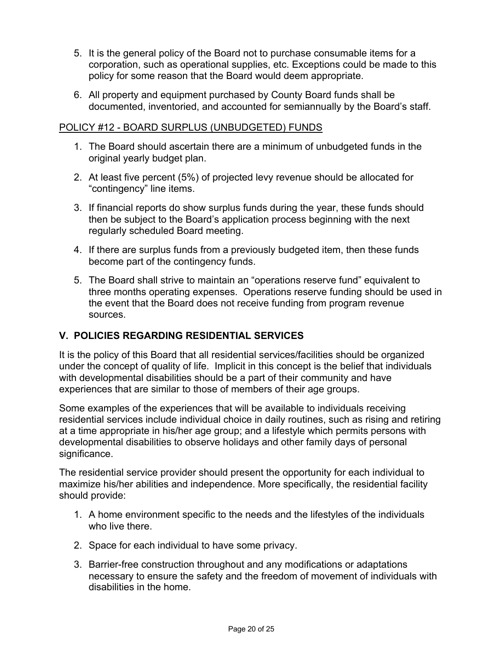- 5. It is the general policy of the Board not to purchase consumable items for a corporation, such as operational supplies, etc. Exceptions could be made to this policy for some reason that the Board would deem appropriate.
- 6. All property and equipment purchased by County Board funds shall be documented, inventoried, and accounted for semiannually by the Board's staff.

### POLICY #12 - BOARD SURPLUS (UNBUDGETED) FUNDS

- 1. The Board should ascertain there are a minimum of unbudgeted funds in the original yearly budget plan.
- 2. At least five percent (5%) of projected levy revenue should be allocated for "contingency" line items.
- 3. If financial reports do show surplus funds during the year, these funds should then be subject to the Board's application process beginning with the next regularly scheduled Board meeting.
- 4. If there are surplus funds from a previously budgeted item, then these funds become part of the contingency funds.
- 5. The Board shall strive to maintain an "operations reserve fund" equivalent to three months operating expenses. Operations reserve funding should be used in the event that the Board does not receive funding from program revenue sources.

## **V. POLICIES REGARDING RESIDENTIAL SERVICES**

It is the policy of this Board that all residential services/facilities should be organized under the concept of quality of life. Implicit in this concept is the belief that individuals with developmental disabilities should be a part of their community and have experiences that are similar to those of members of their age groups.

Some examples of the experiences that will be available to individuals receiving residential services include individual choice in daily routines, such as rising and retiring at a time appropriate in his/her age group; and a lifestyle which permits persons with developmental disabilities to observe holidays and other family days of personal significance.

The residential service provider should present the opportunity for each individual to maximize his/her abilities and independence. More specifically, the residential facility should provide:

- 1. A home environment specific to the needs and the lifestyles of the individuals who live there.
- 2. Space for each individual to have some privacy.
- 3. Barrier-free construction throughout and any modifications or adaptations necessary to ensure the safety and the freedom of movement of individuals with disabilities in the home.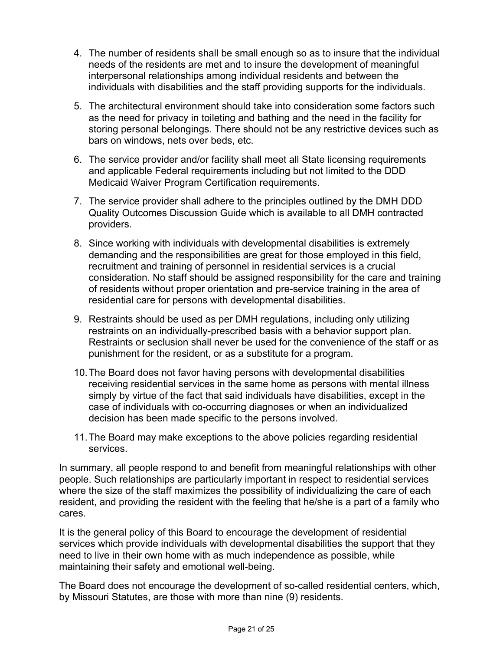- 4. The number of residents shall be small enough so as to insure that the individual needs of the residents are met and to insure the development of meaningful interpersonal relationships among individual residents and between the individuals with disabilities and the staff providing supports for the individuals.
- 5. The architectural environment should take into consideration some factors such as the need for privacy in toileting and bathing and the need in the facility for storing personal belongings. There should not be any restrictive devices such as bars on windows, nets over beds, etc.
- 6. The service provider and/or facility shall meet all State licensing requirements and applicable Federal requirements including but not limited to the DDD Medicaid Waiver Program Certification requirements.
- 7. The service provider shall adhere to the principles outlined by the DMH DDD Quality Outcomes Discussion Guide which is available to all DMH contracted providers.
- 8. Since working with individuals with developmental disabilities is extremely demanding and the responsibilities are great for those employed in this field, recruitment and training of personnel in residential services is a crucial consideration. No staff should be assigned responsibility for the care and training of residents without proper orientation and pre-service training in the area of residential care for persons with developmental disabilities.
- 9. Restraints should be used as per DMH regulations, including only utilizing restraints on an individually-prescribed basis with a behavior support plan. Restraints or seclusion shall never be used for the convenience of the staff or as punishment for the resident, or as a substitute for a program.
- 10.The Board does not favor having persons with developmental disabilities receiving residential services in the same home as persons with mental illness simply by virtue of the fact that said individuals have disabilities, except in the case of individuals with co-occurring diagnoses or when an individualized decision has been made specific to the persons involved.
- 11.The Board may make exceptions to the above policies regarding residential services.

In summary, all people respond to and benefit from meaningful relationships with other people. Such relationships are particularly important in respect to residential services where the size of the staff maximizes the possibility of individualizing the care of each resident, and providing the resident with the feeling that he/she is a part of a family who cares.

It is the general policy of this Board to encourage the development of residential services which provide individuals with developmental disabilities the support that they need to live in their own home with as much independence as possible, while maintaining their safety and emotional well-being.

The Board does not encourage the development of so-called residential centers, which, by Missouri Statutes, are those with more than nine (9) residents.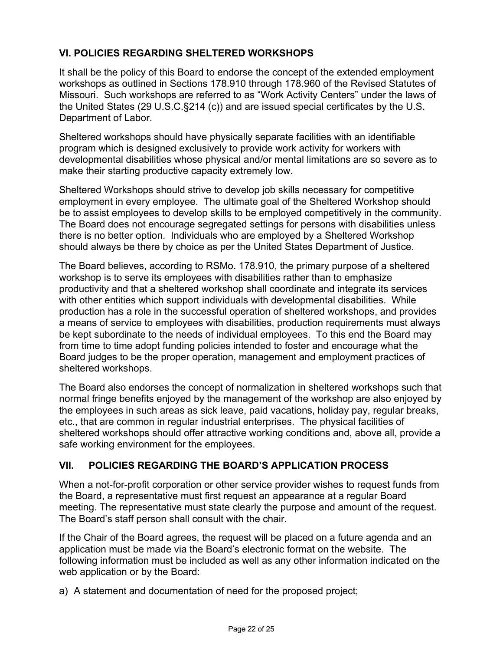# **VI. POLICIES REGARDING SHELTERED WORKSHOPS**

It shall be the policy of this Board to endorse the concept of the extended employment workshops as outlined in Sections 178.910 through 178.960 of the Revised Statutes of Missouri. Such workshops are referred to as "Work Activity Centers" under the laws of the United States (29 U.S.C.§214 (c)) and are issued special certificates by the U.S. Department of Labor.

Sheltered workshops should have physically separate facilities with an identifiable program which is designed exclusively to provide work activity for workers with developmental disabilities whose physical and/or mental limitations are so severe as to make their starting productive capacity extremely low.

Sheltered Workshops should strive to develop job skills necessary for competitive employment in every employee. The ultimate goal of the Sheltered Workshop should be to assist employees to develop skills to be employed competitively in the community. The Board does not encourage segregated settings for persons with disabilities unless there is no better option. Individuals who are employed by a Sheltered Workshop should always be there by choice as per the United States Department of Justice.

The Board believes, according to RSMo. 178.910, the primary purpose of a sheltered workshop is to serve its employees with disabilities rather than to emphasize productivity and that a sheltered workshop shall coordinate and integrate its services with other entities which support individuals with developmental disabilities. While production has a role in the successful operation of sheltered workshops, and provides a means of service to employees with disabilities, production requirements must always be kept subordinate to the needs of individual employees. To this end the Board may from time to time adopt funding policies intended to foster and encourage what the Board judges to be the proper operation, management and employment practices of sheltered workshops.

The Board also endorses the concept of normalization in sheltered workshops such that normal fringe benefits enjoyed by the management of the workshop are also enjoyed by the employees in such areas as sick leave, paid vacations, holiday pay, regular breaks, etc., that are common in regular industrial enterprises. The physical facilities of sheltered workshops should offer attractive working conditions and, above all, provide a safe working environment for the employees.

## **VII. POLICIES REGARDING THE BOARD'S APPLICATION PROCESS**

When a not-for-profit corporation or other service provider wishes to request funds from the Board, a representative must first request an appearance at a regular Board meeting. The representative must state clearly the purpose and amount of the request. The Board's staff person shall consult with the chair.

If the Chair of the Board agrees, the request will be placed on a future agenda and an application must be made via the Board's electronic format on the website. The following information must be included as well as any other information indicated on the web application or by the Board:

a) A statement and documentation of need for the proposed project;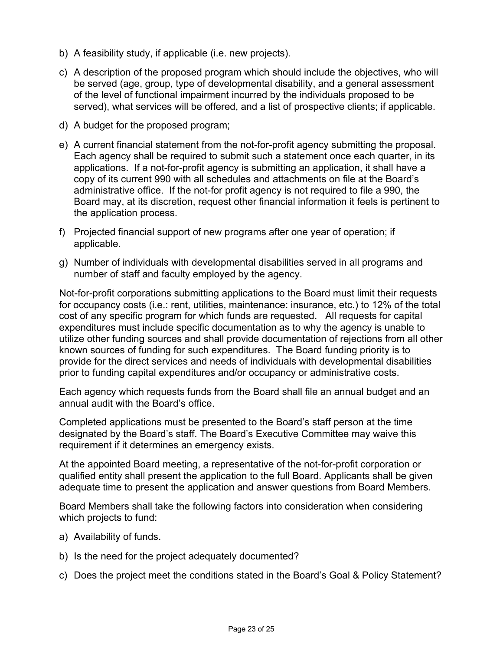- b) A feasibility study, if applicable (i.e. new projects).
- c) A description of the proposed program which should include the objectives, who will be served (age, group, type of developmental disability, and a general assessment of the level of functional impairment incurred by the individuals proposed to be served), what services will be offered, and a list of prospective clients; if applicable.
- d) A budget for the proposed program;
- e) A current financial statement from the not-for-profit agency submitting the proposal. Each agency shall be required to submit such a statement once each quarter, in its applications. If a not-for-profit agency is submitting an application, it shall have a copy of its current 990 with all schedules and attachments on file at the Board's administrative office. If the not-for profit agency is not required to file a 990, the Board may, at its discretion, request other financial information it feels is pertinent to the application process.
- f) Projected financial support of new programs after one year of operation; if applicable.
- g) Number of individuals with developmental disabilities served in all programs and number of staff and faculty employed by the agency.

Not-for-profit corporations submitting applications to the Board must limit their requests for occupancy costs (i.e.: rent, utilities, maintenance: insurance, etc.) to 12% of the total cost of any specific program for which funds are requested. All requests for capital expenditures must include specific documentation as to why the agency is unable to utilize other funding sources and shall provide documentation of rejections from all other known sources of funding for such expenditures. The Board funding priority is to provide for the direct services and needs of individuals with developmental disabilities prior to funding capital expenditures and/or occupancy or administrative costs.

Each agency which requests funds from the Board shall file an annual budget and an annual audit with the Board's office.

Completed applications must be presented to the Board's staff person at the time designated by the Board's staff. The Board's Executive Committee may waive this requirement if it determines an emergency exists.

At the appointed Board meeting, a representative of the not-for-profit corporation or qualified entity shall present the application to the full Board. Applicants shall be given adequate time to present the application and answer questions from Board Members.

Board Members shall take the following factors into consideration when considering which projects to fund:

- a) Availability of funds.
- b) Is the need for the project adequately documented?
- c) Does the project meet the conditions stated in the Board's Goal & Policy Statement?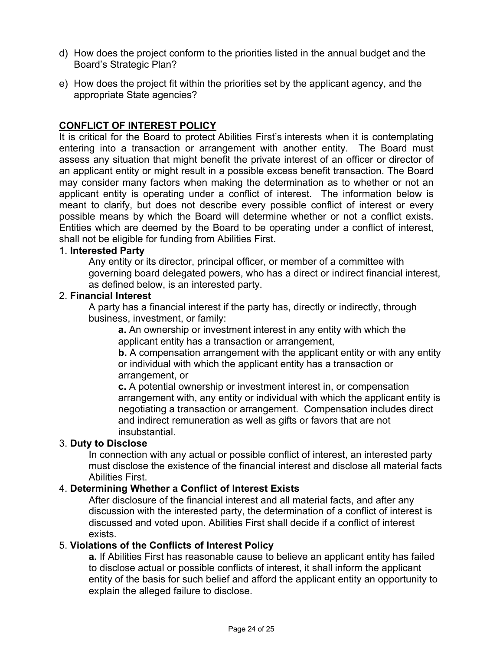- d) How does the project conform to the priorities listed in the annual budget and the Board's Strategic Plan?
- e) How does the project fit within the priorities set by the applicant agency, and the appropriate State agencies?

## **CONFLICT OF INTEREST POLICY**

It is critical for the Board to protect Abilities First's interests when it is contemplating entering into a transaction or arrangement with another entity. The Board must assess any situation that might benefit the private interest of an officer or director of an applicant entity or might result in a possible excess benefit transaction. The Board may consider many factors when making the determination as to whether or not an applicant entity is operating under a conflict of interest. The information below is meant to clarify, but does not describe every possible conflict of interest or every possible means by which the Board will determine whether or not a conflict exists. Entities which are deemed by the Board to be operating under a conflict of interest, shall not be eligible for funding from Abilities First.

#### 1. **Interested Party**

Any entity or its director, principal officer, or member of a committee with governing board delegated powers, who has a direct or indirect financial interest, as defined below, is an interested party.

### 2. **Financial Interest**

A party has a financial interest if the party has, directly or indirectly, through business, investment, or family:

**a.** An ownership or investment interest in any entity with which the applicant entity has a transaction or arrangement,

**b.** A compensation arrangement with the applicant entity or with any entity or individual with which the applicant entity has a transaction or arrangement, or

**c.** A potential ownership or investment interest in, or compensation arrangement with, any entity or individual with which the applicant entity is negotiating a transaction or arrangement. Compensation includes direct and indirect remuneration as well as gifts or favors that are not insubstantial.

### 3. **Duty to Disclose**

In connection with any actual or possible conflict of interest, an interested party must disclose the existence of the financial interest and disclose all material facts Abilities First.

### 4. **Determining Whether a Conflict of Interest Exists**

After disclosure of the financial interest and all material facts, and after any discussion with the interested party, the determination of a conflict of interest is discussed and voted upon. Abilities First shall decide if a conflict of interest exists.

### 5. **Violations of the Conflicts of Interest Policy**

**a.** If Abilities First has reasonable cause to believe an applicant entity has failed to disclose actual or possible conflicts of interest, it shall inform the applicant entity of the basis for such belief and afford the applicant entity an opportunity to explain the alleged failure to disclose.